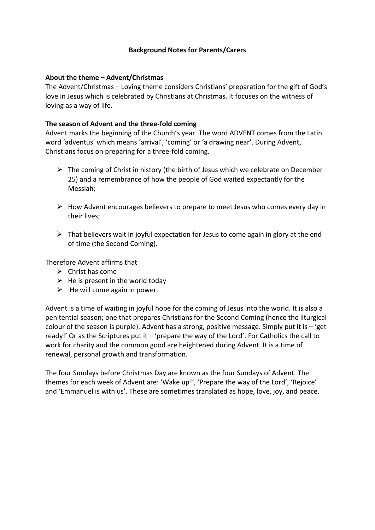# **Background Notes for Parents/Carers**

## **About the theme – Advent/Christmas**

The Advent/Christmas – Loving theme considers Christians' preparation for the gift of God's love in Jesus which is celebrated by Christians at Christmas. It focuses on the witness of loving as a way of life.

# **The season of Advent and the three-fold coming**

Advent marks the beginning of the Church's year. The word ADVENT comes from the Latin word 'adventus' which means 'arrival', 'coming' or 'a drawing near'. During Advent, Christians focus on preparing for a three-fold coming.

- ➢ The coming of Christ in history (the birth of Jesus which we celebrate on December 25) and a remembrance of how the people of God waited expectantly for the Messiah;
- $\triangleright$  How Advent encourages believers to prepare to meet Jesus who comes every day in their lives;
- $\triangleright$  That believers wait in joyful expectation for Jesus to come again in glory at the end of time (the Second Coming).

Therefore Advent affirms that

- $\triangleright$  Christ has come
- $\triangleright$  He is present in the world today
- $\triangleright$  He will come again in power.

Advent is a time of waiting in joyful hope for the coming of Jesus into the world. It is also a penitential season; one that prepares Christians for the Second Coming (hence the liturgical colour of the season is purple). Advent has a strong, positive message. Simply put it is  $-$  'get ready!' Or as the Scriptures put it – 'prepare the way of the Lord'. For Catholics the call to work for charity and the common good are heightened during Advent. It is a time of renewal, personal growth and transformation.

The four Sundays before Christmas Day are known as the four Sundays of Advent. The themes for each week of Advent are: 'Wake up!', 'Prepare the way of the Lord', 'Rejoice' and 'Emmanuel is with us'. These are sometimes translated as hope, love, joy, and peace.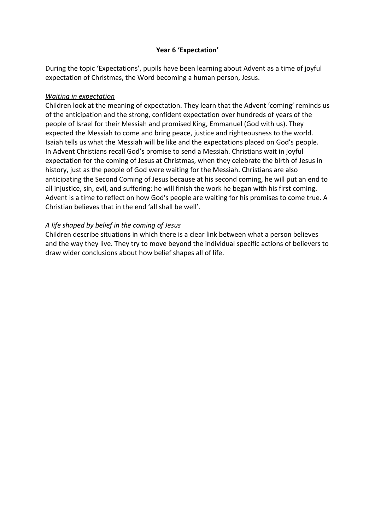# **Year 6 'Expectation'**

During the topic 'Expectations', pupils have been learning about Advent as a time of joyful expectation of Christmas, the Word becoming a human person, Jesus.

## *Waiting in expectation*

Children look at the meaning of expectation. They learn that the Advent 'coming' reminds us of the anticipation and the strong, confident expectation over hundreds of years of the people of Israel for their Messiah and promised King, Emmanuel (God with us). They expected the Messiah to come and bring peace, justice and righteousness to the world. Isaiah tells us what the Messiah will be like and the expectations placed on God's people. In Advent Christians recall God's promise to send a Messiah. Christians wait in joyful expectation for the coming of Jesus at Christmas, when they celebrate the birth of Jesus in history, just as the people of God were waiting for the Messiah. Christians are also anticipating the Second Coming of Jesus because at his second coming, he will put an end to all injustice, sin, evil, and suffering: he will finish the work he began with his first coming. Advent is a time to reflect on how God's people are waiting for his promises to come true. A Christian believes that in the end 'all shall be well'.

# *A life shaped by belief in the coming of Jesus*

Children describe situations in which there is a clear link between what a person believes and the way they live. They try to move beyond the individual specific actions of believers to draw wider conclusions about how belief shapes all of life.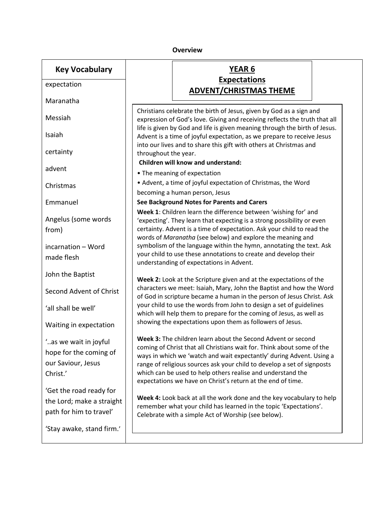## **Overview**

| <b>Key Vocabulary</b>     |                                                                                                                                                          | <b>YEAR 6</b>                                                                                                                                   |  |  |  |
|---------------------------|----------------------------------------------------------------------------------------------------------------------------------------------------------|-------------------------------------------------------------------------------------------------------------------------------------------------|--|--|--|
| expectation               |                                                                                                                                                          | <b>Expectations</b><br><b>ADVENT/CHRISTMAS THEME</b>                                                                                            |  |  |  |
| Maranatha                 | Christians celebrate the birth of Jesus, given by God as a sign and                                                                                      |                                                                                                                                                 |  |  |  |
| Messiah                   | expression of God's love. Giving and receiving reflects the truth that all<br>life is given by God and life is given meaning through the birth of Jesus. |                                                                                                                                                 |  |  |  |
| Isaiah                    | Advent is a time of joyful expectation, as we prepare to receive Jesus<br>into our lives and to share this gift with others at Christmas and             |                                                                                                                                                 |  |  |  |
| certainty                 | throughout the year.                                                                                                                                     |                                                                                                                                                 |  |  |  |
| advent                    |                                                                                                                                                          | <b>Children will know and understand:</b><br>• The meaning of expectation                                                                       |  |  |  |
| Christmas                 | • Advent, a time of joyful expectation of Christmas, the Word<br>becoming a human person, Jesus                                                          |                                                                                                                                                 |  |  |  |
| Emmanuel                  |                                                                                                                                                          | See Background Notes for Parents and Carers                                                                                                     |  |  |  |
|                           |                                                                                                                                                          | Week 1: Children learn the difference between 'wishing for' and                                                                                 |  |  |  |
| Angelus (some words       | 'expecting'. They learn that expecting is a strong possibility or even                                                                                   |                                                                                                                                                 |  |  |  |
| from)                     |                                                                                                                                                          | certainty. Advent is a time of expectation. Ask your child to read the                                                                          |  |  |  |
| incarnation - Word        |                                                                                                                                                          | words of Maranatha (see below) and explore the meaning and<br>symbolism of the language within the hymn, annotating the text. Ask               |  |  |  |
| made flesh                | your child to use these annotations to create and develop their                                                                                          |                                                                                                                                                 |  |  |  |
|                           |                                                                                                                                                          | understanding of expectations in Advent.                                                                                                        |  |  |  |
| John the Baptist          |                                                                                                                                                          |                                                                                                                                                 |  |  |  |
|                           | Week 2: Look at the Scripture given and at the expectations of the<br>characters we meet: Isaiah, Mary, John the Baptist and how the Word                |                                                                                                                                                 |  |  |  |
| Second Advent of Christ   |                                                                                                                                                          | of God in scripture became a human in the person of Jesus Christ. Ask                                                                           |  |  |  |
| 'all shall be well'       |                                                                                                                                                          | your child to use the words from John to design a set of guidelines                                                                             |  |  |  |
|                           |                                                                                                                                                          | which will help them to prepare for the coming of Jesus, as well as<br>showing the expectations upon them as followers of Jesus.                |  |  |  |
| Waiting in expectation    |                                                                                                                                                          |                                                                                                                                                 |  |  |  |
| "as we wait in joyful.    |                                                                                                                                                          | Week 3: The children learn about the Second Advent or second                                                                                    |  |  |  |
| hope for the coming of    |                                                                                                                                                          | coming of Christ that all Christians wait for. Think about some of the                                                                          |  |  |  |
| our Saviour, Jesus        |                                                                                                                                                          | ways in which we 'watch and wait expectantly' during Advent. Using a<br>range of religious sources ask your child to develop a set of signposts |  |  |  |
| Christ.'                  |                                                                                                                                                          | which can be used to help others realise and understand the                                                                                     |  |  |  |
|                           |                                                                                                                                                          | expectations we have on Christ's return at the end of time.                                                                                     |  |  |  |
| 'Get the road ready for   |                                                                                                                                                          |                                                                                                                                                 |  |  |  |
| the Lord; make a straight | Week 4: Look back at all the work done and the key vocabulary to help<br>remember what your child has learned in the topic 'Expectations'.               |                                                                                                                                                 |  |  |  |
| path for him to travel'   |                                                                                                                                                          | Celebrate with a simple Act of Worship (see below).                                                                                             |  |  |  |
| 'Stay awake, stand firm.' |                                                                                                                                                          |                                                                                                                                                 |  |  |  |

 $\overline{\phantom{a}}$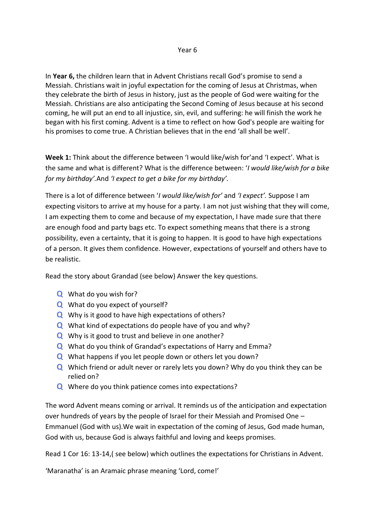## Year 6

In **Year 6,** the children learn that in Advent Christians recall God's promise to send a Messiah. Christians wait in joyful expectation for the coming of Jesus at Christmas, when they celebrate the birth of Jesus in history, just as the people of God were waiting for the Messiah. Christians are also anticipating the Second Coming of Jesus because at his second coming, he will put an end to all injustice, sin, evil, and suffering: he will finish the work he began with his first coming. Advent is a time to reflect on how God's people are waiting for his promises to come true. A Christian believes that in the end 'all shall be well'.

**Week 1:** Think about the difference between 'I would like/wish for'and 'I expect'. What is the same and what is different? What is the difference between: '*I would like/wish for a bike for my birthday'.*And *'I expect to get a bike for my birthday'.*

There is a lot of difference between '*I would like/wish for'* and *'I expect'.* Suppose I am expecting visitors to arrive at my house for a party. I am not just wishing that they will come, I am expecting them to come and because of my expectation, I have made sure that there are enough food and party bags etc. To expect something means that there is a strong possibility, even a certainty, that it is going to happen. It is good to have high expectations of a person. It gives them confidence. However, expectations of yourself and others have to be realistic.

Read the story about Grandad (see below) Answer the key questions.

- **Q** What do you wish for?
- **Q** What do you expect of yourself?
- **Q** Why is it good to have high expectations of others?
- **Q** What kind of expectations do people have of you and why?
- **Q** Why is it good to trust and believe in one another?
- **Q** What do you think of Grandad's expectations of Harry and Emma?
- **Q** What happens if you let people down or others let you down?
- **Q** Which friend or adult never or rarely lets you down? Why do you think they can be relied on?
- **Q** Where do you think patience comes into expectations?

The word Advent means coming or arrival. It reminds us of the anticipation and expectation over hundreds of years by the people of Israel for their Messiah and Promised One – Emmanuel (God with us).We wait in expectation of the coming of Jesus, God made human, God with us, because God is always faithful and loving and keeps promises.

Read 1 Cor 16: 13-14,( see below) which outlines the expectations for Christians in Advent.

'Maranatha' is an Aramaic phrase meaning 'Lord, come!'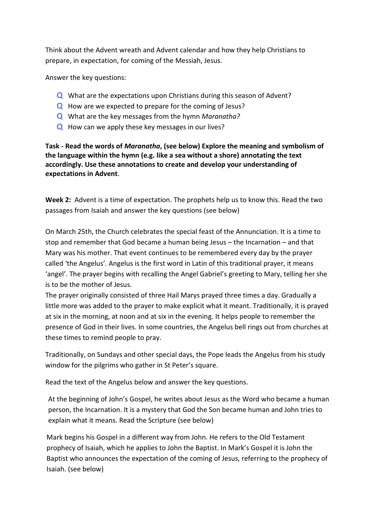Think about the Advent wreath and Advent calendar and how they help Christians to prepare, in expectation, for coming of the Messiah, Jesus.

Answer the key questions:

- **Q** What are the expectations upon Christians during this season of Advent?
- **Q** How are we expected to prepare for the coming of Jesus?
- **Q** What are the key messages from the hymn *Maranatha?*
- **Q** How can we apply these key messages in our lives?

**Task - Read the words of** *Maranatha***, (see below) Explore the meaning and symbolism of the language within the hymn (e.g. like a sea without a shore) annotating the text accordingly. Use these annotations to create and develop your understanding of expectations in Advent**.

**Week 2:** Advent is a time of expectation. The prophets help us to know this. Read the two passages from Isaiah and answer the key questions (see below)

On March 25th, the Church celebrates the special feast of the Annunciation. It is a time to stop and remember that God became a human being Jesus – the Incarnation – and that Mary was his mother. That event continues to be remembered every day by the prayer called 'the Angelus'. Angelus is the first word in Latin of this traditional prayer, it means 'angel'. The prayer begins with recalling the Angel Gabriel's greeting to Mary, telling her she is to be the mother of Jesus.

The prayer originally consisted of three Hail Marys prayed three times a day. Gradually a little more was added to the prayer to make explicit what it meant. Traditionally, it is prayed at six in the morning, at noon and at six in the evening. It helps people to remember the presence of God in their lives. In some countries, the Angelus bell rings out from churches at these times to remind people to pray.

Traditionally, on Sundays and other special days, the Pope leads the Angelus from his study window for the pilgrims who gather in St Peter's square.

Read the text of the Angelus below and answer the key questions.

At the beginning of John's Gospel, he writes about Jesus as the Word who became a human person, the Incarnation. It is a mystery that God the Son became human and John tries to explain what it means. Read the Scripture (see below)

Mark begins his Gospel in a different way from John. He refers to the Old Testament prophecy of Isaiah, which he applies to John the Baptist. In Mark's Gospel it is John the Baptist who announces the expectation of the coming of Jesus, referring to the prophecy of Isaiah. (see below)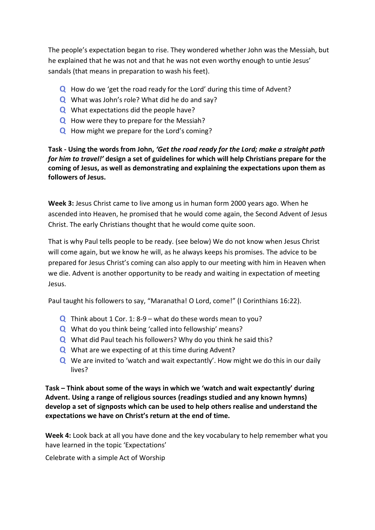The people's expectation began to rise. They wondered whether John was the Messiah, but he explained that he was not and that he was not even worthy enough to untie Jesus' sandals (that means in preparation to wash his feet).

- **Q** How do we 'get the road ready for the Lord' during this time of Advent?
- **Q** What was John's role? What did he do and say?
- **Q** What expectations did the people have?
- **Q** How were they to prepare for the Messiah?
- **Q** How might we prepare for the Lord's coming?

**Task - Using the words from John,** *'Get the road ready for the Lord; make a straight path for him to travel!'* **design a set of guidelines for which will help Christians prepare for the coming of Jesus, as well as demonstrating and explaining the expectations upon them as followers of Jesus.**

**Week 3:** Jesus Christ came to live among us in human form 2000 years ago. When he ascended into Heaven, he promised that he would come again, the Second Advent of Jesus Christ. The early Christians thought that he would come quite soon.

That is why Paul tells people to be ready. (see below) We do not know when Jesus Christ will come again, but we know he will, as he always keeps his promises. The advice to be prepared for Jesus Christ's coming can also apply to our meeting with him in Heaven when we die. Advent is another opportunity to be ready and waiting in expectation of meeting Jesus.

Paul taught his followers to say, "Maranatha! O Lord, come!" (I Corinthians 16:22).

- **Q** Think about 1 Cor. 1: 8-9 what do these words mean to you?
- **Q** What do you think being 'called into fellowship' means?
- **Q** What did Paul teach his followers? Why do you think he said this?
- **Q** What are we expecting of at this time during Advent?
- **Q** We are invited to 'watch and wait expectantly'. How might we do this in our daily lives?

**Task – Think about some of the ways in which we 'watch and wait expectantly' during Advent. Using a range of religious sources (readings studied and any known hymns) develop a set of signposts which can be used to help others realise and understand the expectations we have on Christ's return at the end of time.** 

**Week 4:** Look back at all you have done and the key vocabulary to help remember what you have learned in the topic 'Expectations'

Celebrate with a simple Act of Worship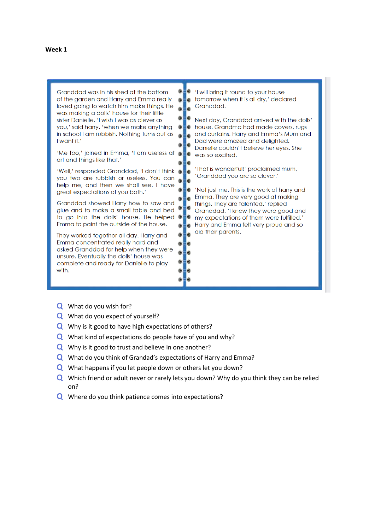| Granddad was in his shed at the bottom<br>of the garden and Harry and Emma really<br>loved going to watch him make things. He<br>was making a dolls' house for their little                                           |       | 'I will bring it round to your house<br>tomorrow when it is all dry,' declared<br>Granddad.                                                                                                               |
|-----------------------------------------------------------------------------------------------------------------------------------------------------------------------------------------------------------------------|-------|-----------------------------------------------------------------------------------------------------------------------------------------------------------------------------------------------------------|
| sister Danielle. 'I wish I was as clever as<br>you,' said harry, 'when we make anything<br>in school I am rubbish. Nothing turns out as<br>I want it.'                                                                | ⋒     | Next day, Granddad arrived with the dolls'<br>house. Grandma had made covers, rugs<br>and curtains. Harry and Emma's Mum and<br>Dad were amazed and delighted.<br>Danielle couldn't believe her eyes. She |
| 'Me too,' joined in Emma, 'I am useless at $\bullet$<br>art and things like that.'                                                                                                                                    |       | i٥<br>was so excited.                                                                                                                                                                                     |
| 'Well,' responded Granddad, 'I don't think<br>you two are rubbish or useless. You can<br>help me, and then we shall see. I have<br>great expectations of you both.'                                                   |       | 'That is wonderful!' proclaimed mum,<br>'Granddad you are so clever.'<br>'Not just me. This is the work of harry and                                                                                      |
| Granddad showed Harry how to saw and<br>glue and to make a small table and bed<br>to go into the dolls' house. He helped<br>Emma to paint the outside of the house.                                                   | G E O | Emma. They are very good at making<br>things. They are talented.' replied<br>Granddad. 'I knew they were good and<br>my expectations of them were fulfilled.'<br>Harry and Emma felt very proud and so    |
| They worked together all day. Harry and<br>Emma concentrated really hard and<br>asked Granddad for help when they were<br>unsure. Eventually the dolls' house was<br>complete and ready for Danielle to play<br>with. |       | did their parents.                                                                                                                                                                                        |

- **Q** What do you wish for?
- **Q** What do you expect of yourself?
- **Q** Why is it good to have high expectations of others?
- **Q** What kind of expectations do people have of you and why?
- **Q** Why is it good to trust and believe in one another?
- **Q** What do you think of Grandad's expectations of Harry and Emma?
- **Q** What happens if you let people down or others let you down?
- **Q** Which friend or adult never or rarely lets you down? Why do you think they can be relied on?
- **Q** Where do you think patience comes into expectations?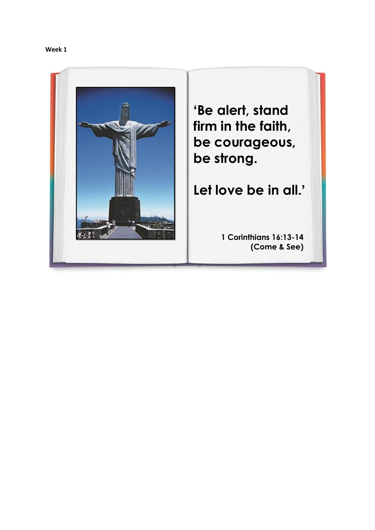

**'Be alert, stand firm in the faith, be courageous, be strong.** 

**Let love be in all.'**

**1 Corinthians 16:13-14 (Come & See)**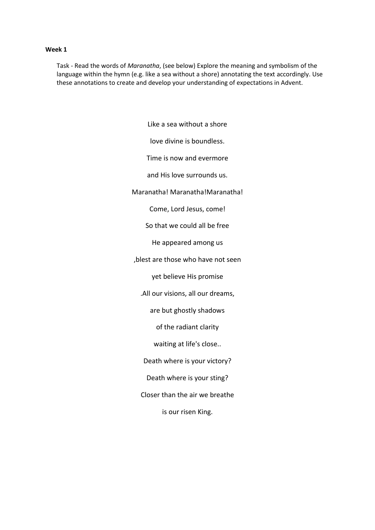Task - Read the words of *Maranatha*, (see below) Explore the meaning and symbolism of the language within the hymn (e.g. like a sea without a shore) annotating the text accordingly. Use these annotations to create and develop your understanding of expectations in Advent.

> Like a sea without a shore love divine is boundless. Time is now and evermore and His love surrounds us. Maranatha! Maranatha! Maranatha! Come, Lord Jesus, come! So that we could all be free He appeared among us ,blest are those who have not seen yet believe His promise .All our visions, all our dreams, are but ghostly shadows of the radiant clarity waiting at life's close.. Death where is your victory? Death where is your sting? Closer than the air we breathe is our risen King.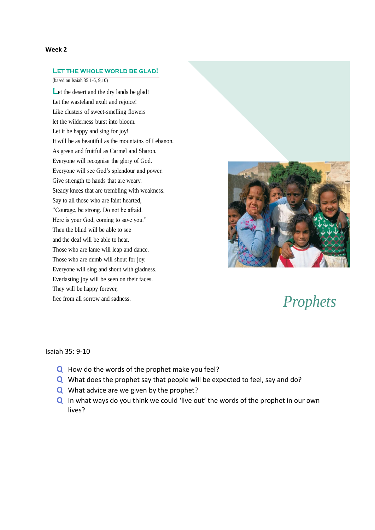#### **Let the whole world be glad!**

(based on Isaiah 35:1-6, 9,10)

Let the desert and the dry lands be glad! Let the wasteland exult and rejoice! Like clusters of sweet-smelling flowers let the wilderness burst into bloom. Let it be happy and sing for joy! It will be as beautiful as the mountains of Lebanon. As green and fruitful as Carmel and Sharon. Everyone will recognise the glory of God. Everyone will see God's splendour and power. Give strength to hands that are weary. Steady knees that are trembling with weakness. Say to all those who are faint hearted, "Courage, be strong. Do not be afraid. Here is your God, coming to save you." Then the blind will be able to see and the deaf will be able to hear. Those who are lame will leap and dance. Those who are dumb will shout for joy. Everyone will sing and shout with gladness. Everlasting joy will be seen on their faces. They will be happy forever, free from all sorrow and sadness. *Prophets*



#### Isaiah 35: 9-10

- **Q** How do the words of the prophet make you feel?
- **Q** What does the prophet say that people will be expected to feel, say and do?
- **Q** What advice are we given by the prophet?
- **Q** In what ways do you think we could 'live out' the words of the prophet in our own lives?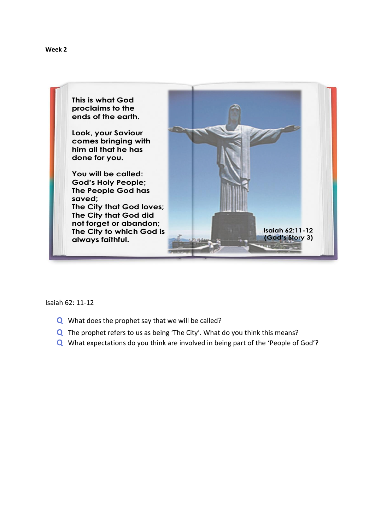



Isaiah 62: 11-12

- **Q** What does the prophet say that we will be called?
- **Q** The prophet refers to us as being 'The City'. What do you think this means?
- **Q** What expectations do you think are involved in being part of the 'People of God'?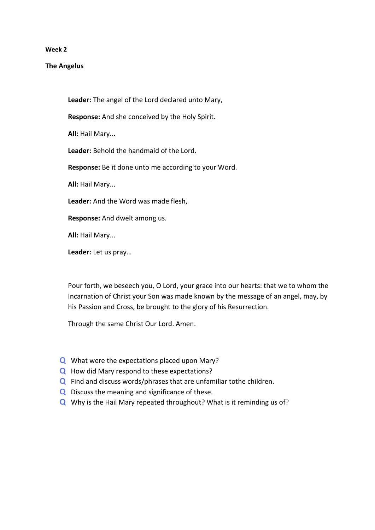### **The Angelus**

**Leader:** The angel of the Lord declared unto Mary,

**Response:** And she conceived by the Holy Spirit.

**All:** Hail Mary...

**Leader:** Behold the handmaid of the Lord.

**Response:** Be it done unto me according to your Word.

**All:** Hail Mary...

**Leader:** And the Word was made flesh,

**Response:** And dwelt among us.

**All:** Hail Mary...

**Leader:** Let us pray…

Pour forth, we beseech you, O Lord, your grace into our hearts: that we to whom the Incarnation of Christ your Son was made known by the message of an angel, may, by his Passion and Cross, be brought to the glory of his Resurrection.

Through the same Christ Our Lord. Amen.

- **Q** What were the expectations placed upon Mary?
- **Q** How did Mary respond to these expectations?
- **Q** Find and discuss words/phrases that are unfamiliar tothe children.
- **Q** Discuss the meaning and significance of these.
- **Q** Why is the Hail Mary repeated throughout? What is it reminding us of?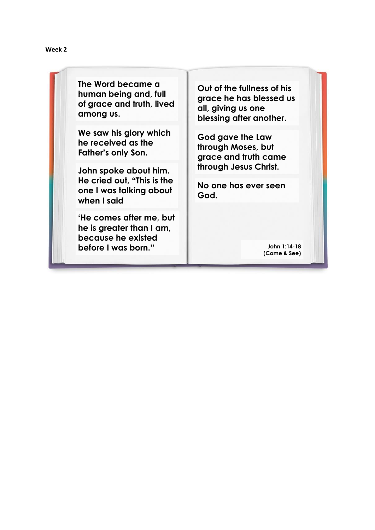**The Word became a human being and, full of grace and truth, lived among us.** 

**We saw his glory which he received as the Father's only Son.**

**John spoke about him. He cried out, "This is the one I was talking about when I said** 

**'He comes after me, but he is greater than I am, because he existed before I was born."**

**Out of the fullness of his grace he has blessed us all, giving us one blessing after another.** 

**God gave the Law through Moses, but grace and truth came through Jesus Christ.**

**No one has ever seen God.**

> **John 1:14-18 (Come & See)**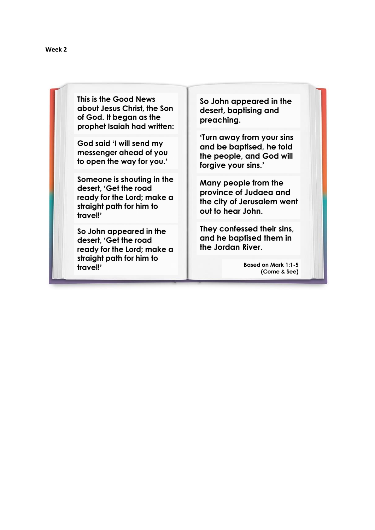**This is the Good News about Jesus Christ, the Son of God. It began as the prophet Isaiah had written:**

**God said 'I will send my messenger ahead of you to open the way for you.'**

**Someone is shouting in the desert, 'Get the road ready for the Lord; make a straight path for him to travel!'**

**So John appeared in the desert, 'Get the road ready for the Lord; make a straight path for him to travel!'**

**So John appeared in the desert, baptising and preaching.** 

**'Turn away from your sins and be baptised, he told the people, and God will forgive your sins.'**

**Many people from the province of Judaea and the city of Jerusalem went out to hear John.** 

**They confessed their sins, and he baptised them in the Jordan River.**

> **Based on Mark 1:1-5 (Come & See)**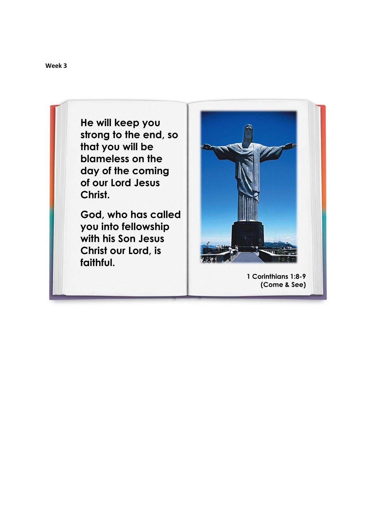**He will keep you strong to the end, so that you will be blameless on the day of the coming of our Lord Jesus Christ.** 

**God, who has called you into fellowship with his Son Jesus Christ our Lord, is faithful.**



**1 Corinthians 1:8-9 (Come & See)**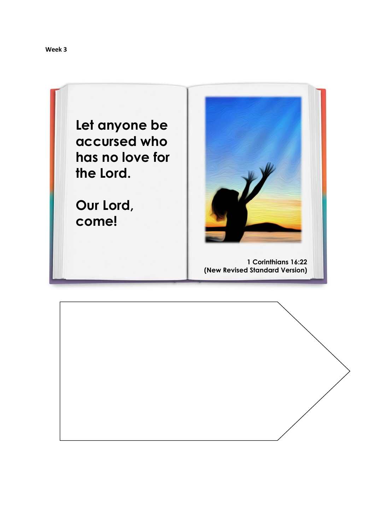



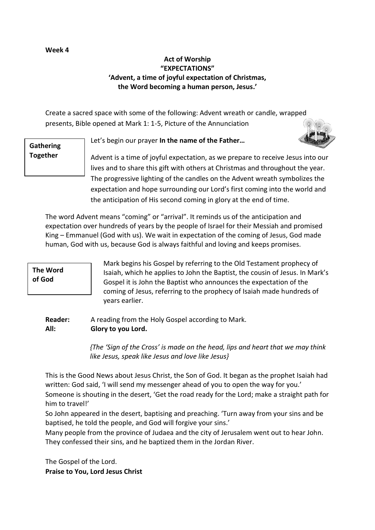# **Act of Worship "EXPECTATIONS" 'Advent, a time of joyful expectation of Christmas, the Word becoming a human person, Jesus.'**

Create a sacred space with some of the following: Advent wreath or candle, wrapped presents, Bible opened at Mark 1: 1-5, Picture of the Annunciation

# **Gathering Together**

Let's begin our prayer **In the name of the Father…**



The word Advent means "coming" or "arrival". It reminds us of the anticipation and expectation over hundreds of years by the people of Israel for their Messiah and promised King – Emmanuel (God with us). We wait in expectation of the coming of Jesus, God made human, God with us, because God is always faithful and loving and keeps promises.

# **The Word of God**

Mark begins his Gospel by referring to the Old Testament prophecy of Isaiah, which he applies to John the Baptist, the cousin of Jesus. In Mark's Gospel it is John the Baptist who announces the expectation of the coming of Jesus, referring to the prophecy of Isaiah made hundreds of years earlier.

# **Reader:** A reading from the Holy Gospel according to Mark. **All: Glory to you Lord.**

*{The 'Sign of the Cross' is made on the head, lips and heart that we may think like Jesus, speak like Jesus and love like Jesus}*

This is the Good News about Jesus Christ, the Son of God. It began as the prophet Isaiah had written: God said, 'I will send my messenger ahead of you to open the way for you.' Someone is shouting in the desert, 'Get the road ready for the Lord; make a straight path for him to travel!'

So John appeared in the desert, baptising and preaching. 'Turn away from your sins and be baptised, he told the people, and God will forgive your sins.'

Many people from the province of Judaea and the city of Jerusalem went out to hear John. They confessed their sins, and he baptized them in the Jordan River.

The Gospel of the Lord. **Praise to You, Lord Jesus Christ**

# **Week 4**